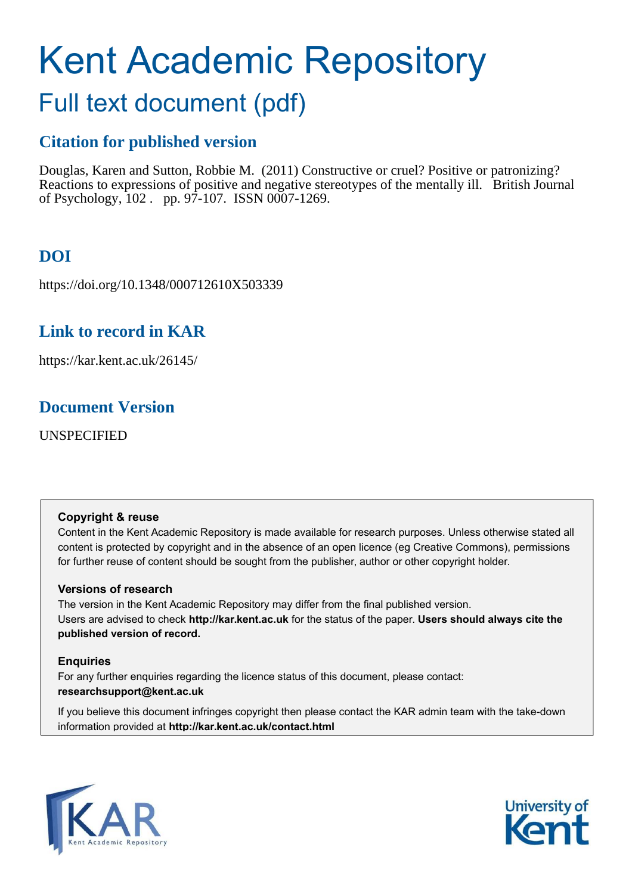# Kent Academic Repository

# Full text document (pdf)

## **Citation for published version**

Douglas, Karen and Sutton, Robbie M. (2011) Constructive or cruel? Positive or patronizing? Reactions to expressions of positive and negative stereotypes of the mentally ill. British Journal of Psychology, 102 . pp. 97-107. ISSN 0007-1269.

# **DOI**

https://doi.org/10.1348/000712610X503339

### **Link to record in KAR**

https://kar.kent.ac.uk/26145/

### **Document Version**

UNSPECIFIED

#### **Copyright & reuse**

Content in the Kent Academic Repository is made available for research purposes. Unless otherwise stated all content is protected by copyright and in the absence of an open licence (eg Creative Commons), permissions for further reuse of content should be sought from the publisher, author or other copyright holder.

#### **Versions of research**

The version in the Kent Academic Repository may differ from the final published version. Users are advised to check **http://kar.kent.ac.uk** for the status of the paper. **Users should always cite the published version of record.**

#### **Enquiries**

For any further enquiries regarding the licence status of this document, please contact: **researchsupport@kent.ac.uk**

If you believe this document infringes copyright then please contact the KAR admin team with the take-down information provided at **http://kar.kent.ac.uk/contact.html**



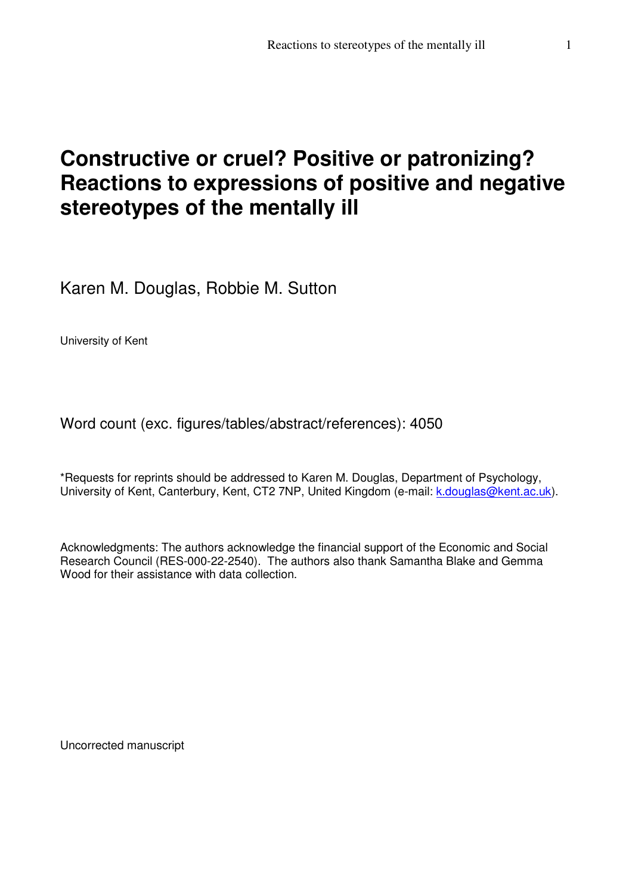# **Constructive or cruel? Positive or patronizing? Reactions to expressions of positive and negative stereotypes of the mentally ill**

Karen M. Douglas, Robbie M. Sutton

University of Kent

Word count (exc. figures/tables/abstract/references): 4050

\*Requests for reprints should be addressed to Karen M. Douglas, Department of Psychology, University of Kent, Canterbury, Kent, CT2 7NP, United Kingdom (e-mail: k.douglas@kent.ac.uk).

Acknowledgments: The authors acknowledge the financial support of the Economic and Social Research Council (RES-000-22-2540). The authors also thank Samantha Blake and Gemma Wood for their assistance with data collection.

Uncorrected manuscript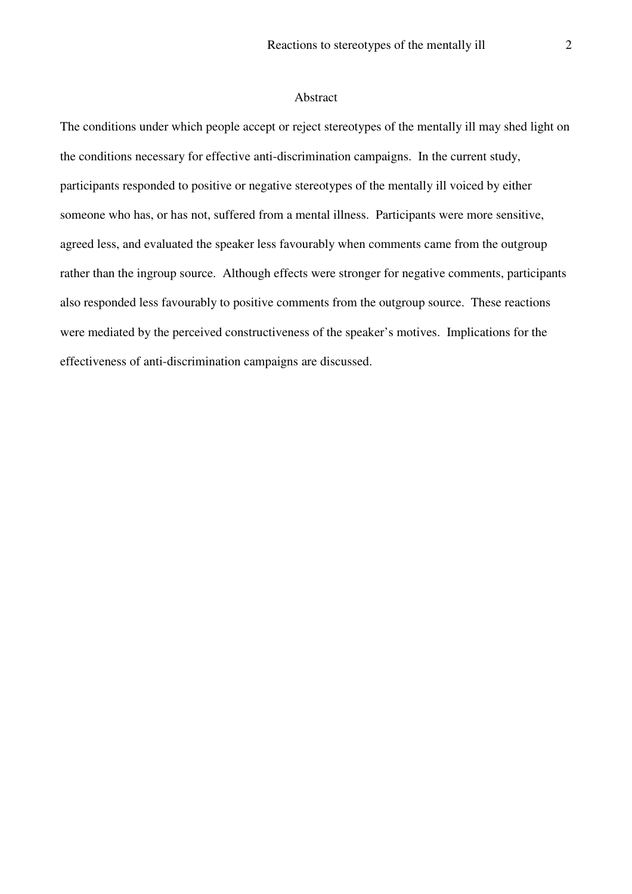#### Abstract

The conditions under which people accept or reject stereotypes of the mentally ill may shed light on the conditions necessary for effective anti-discrimination campaigns. In the current study, participants responded to positive or negative stereotypes of the mentally ill voiced by either someone who has, or has not, suffered from a mental illness. Participants were more sensitive, agreed less, and evaluated the speaker less favourably when comments came from the outgroup rather than the ingroup source. Although effects were stronger for negative comments, participants also responded less favourably to positive comments from the outgroup source. These reactions were mediated by the perceived constructiveness of the speaker's motives. Implications for the effectiveness of anti-discrimination campaigns are discussed.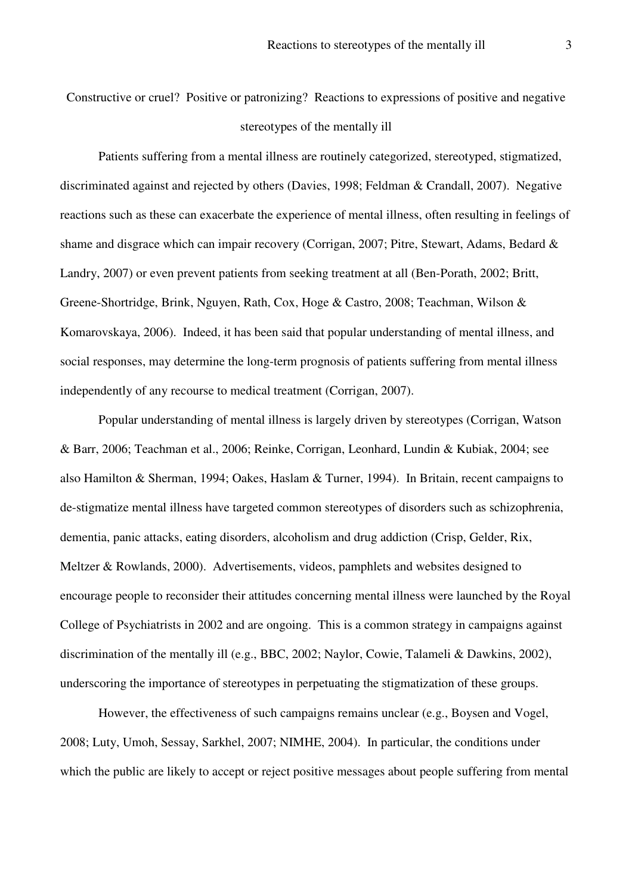Constructive or cruel? Positive or patronizing? Reactions to expressions of positive and negative stereotypes of the mentally ill

Patients suffering from a mental illness are routinely categorized, stereotyped, stigmatized, discriminated against and rejected by others (Davies, 1998; Feldman & Crandall, 2007). Negative reactions such as these can exacerbate the experience of mental illness, often resulting in feelings of shame and disgrace which can impair recovery (Corrigan, 2007; Pitre, Stewart, Adams, Bedard & Landry, 2007) or even prevent patients from seeking treatment at all (Ben-Porath, 2002; Britt, Greene-Shortridge, Brink, Nguyen, Rath, Cox, Hoge & Castro, 2008; Teachman, Wilson & Komarovskaya, 2006). Indeed, it has been said that popular understanding of mental illness, and social responses, may determine the long-term prognosis of patients suffering from mental illness independently of any recourse to medical treatment (Corrigan, 2007).

Popular understanding of mental illness is largely driven by stereotypes (Corrigan, Watson & Barr, 2006; Teachman et al., 2006; Reinke, Corrigan, Leonhard, Lundin & Kubiak, 2004; see also Hamilton & Sherman, 1994; Oakes, Haslam & Turner, 1994). In Britain, recent campaigns to de-stigmatize mental illness have targeted common stereotypes of disorders such as schizophrenia, dementia, panic attacks, eating disorders, alcoholism and drug addiction (Crisp, Gelder, Rix, Meltzer & Rowlands, 2000). Advertisements, videos, pamphlets and websites designed to encourage people to reconsider their attitudes concerning mental illness were launched by the Royal College of Psychiatrists in 2002 and are ongoing. This is a common strategy in campaigns against discrimination of the mentally ill (e.g., BBC, 2002; Naylor, Cowie, Talameli & Dawkins, 2002), underscoring the importance of stereotypes in perpetuating the stigmatization of these groups.

However, the effectiveness of such campaigns remains unclear (e.g., Boysen and Vogel, 2008; Luty, Umoh, Sessay, Sarkhel, 2007; NIMHE, 2004). In particular, the conditions under which the public are likely to accept or reject positive messages about people suffering from mental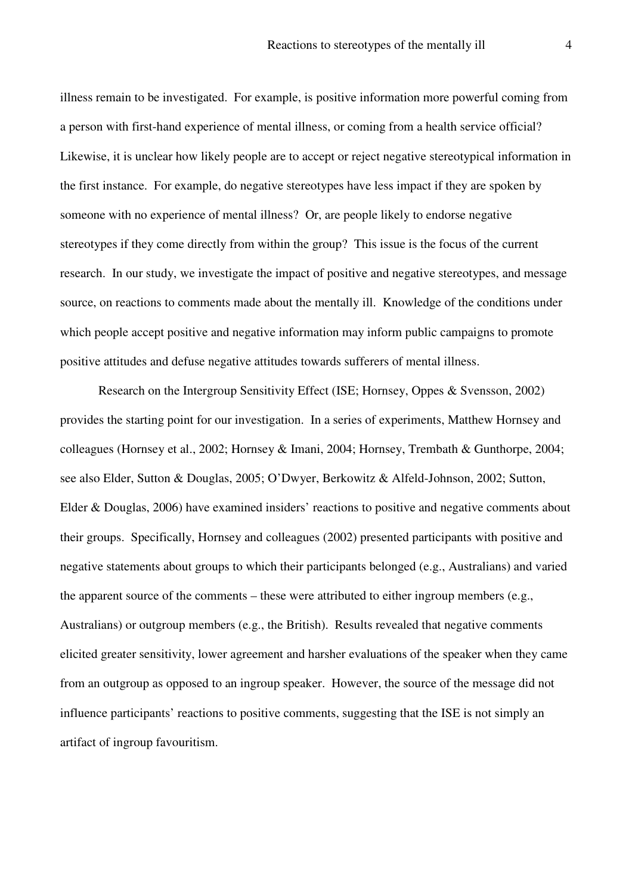illness remain to be investigated. For example, is positive information more powerful coming from a person with first-hand experience of mental illness, or coming from a health service official? Likewise, it is unclear how likely people are to accept or reject negative stereotypical information in the first instance. For example, do negative stereotypes have less impact if they are spoken by someone with no experience of mental illness? Or, are people likely to endorse negative stereotypes if they come directly from within the group? This issue is the focus of the current research. In our study, we investigate the impact of positive and negative stereotypes, and message source, on reactions to comments made about the mentally ill. Knowledge of the conditions under which people accept positive and negative information may inform public campaigns to promote positive attitudes and defuse negative attitudes towards sufferers of mental illness.

Research on the Intergroup Sensitivity Effect (ISE; Hornsey, Oppes & Svensson, 2002) provides the starting point for our investigation. In a series of experiments, Matthew Hornsey and colleagues (Hornsey et al., 2002; Hornsey & Imani, 2004; Hornsey, Trembath & Gunthorpe, 2004; see also Elder, Sutton & Douglas, 2005; O'Dwyer, Berkowitz & Alfeld-Johnson, 2002; Sutton, Elder & Douglas, 2006) have examined insiders' reactions to positive and negative comments about their groups. Specifically, Hornsey and colleagues (2002) presented participants with positive and negative statements about groups to which their participants belonged (e.g., Australians) and varied the apparent source of the comments – these were attributed to either ingroup members (e.g., Australians) or outgroup members (e.g., the British). Results revealed that negative comments elicited greater sensitivity, lower agreement and harsher evaluations of the speaker when they came from an outgroup as opposed to an ingroup speaker. However, the source of the message did not influence participants' reactions to positive comments, suggesting that the ISE is not simply an artifact of ingroup favouritism.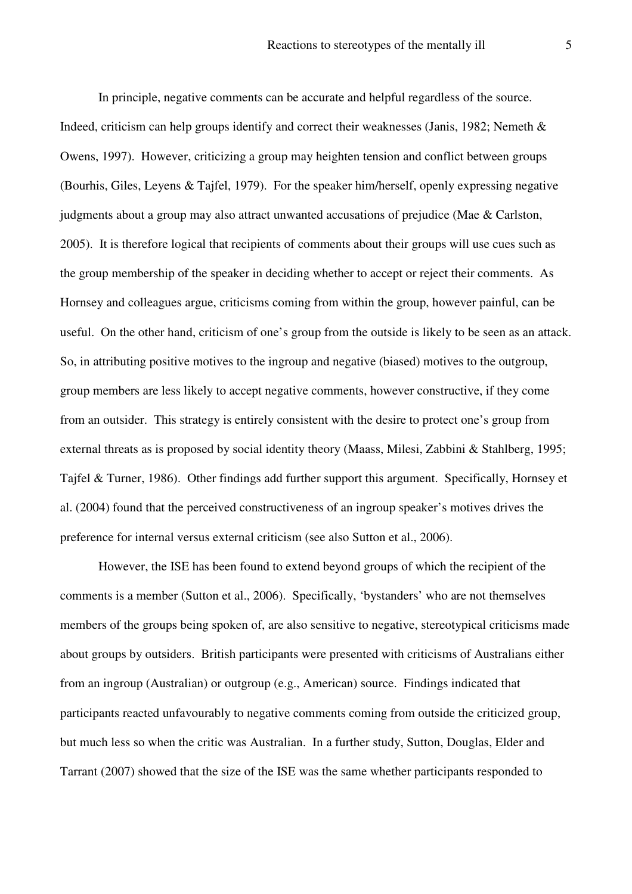In principle, negative comments can be accurate and helpful regardless of the source. Indeed, criticism can help groups identify and correct their weaknesses (Janis, 1982; Nemeth & Owens, 1997). However, criticizing a group may heighten tension and conflict between groups (Bourhis, Giles, Leyens & Tajfel, 1979). For the speaker him/herself, openly expressing negative judgments about a group may also attract unwanted accusations of prejudice (Mae & Carlston, 2005). It is therefore logical that recipients of comments about their groups will use cues such as the group membership of the speaker in deciding whether to accept or reject their comments. As Hornsey and colleagues argue, criticisms coming from within the group, however painful, can be useful. On the other hand, criticism of one's group from the outside is likely to be seen as an attack. So, in attributing positive motives to the ingroup and negative (biased) motives to the outgroup, group members are less likely to accept negative comments, however constructive, if they come from an outsider. This strategy is entirely consistent with the desire to protect one's group from external threats as is proposed by social identity theory (Maass, Milesi, Zabbini & Stahlberg, 1995; Tajfel & Turner, 1986). Other findings add further support this argument. Specifically, Hornsey et al. (2004) found that the perceived constructiveness of an ingroup speaker's motives drives the preference for internal versus external criticism (see also Sutton et al., 2006).

However, the ISE has been found to extend beyond groups of which the recipient of the comments is a member (Sutton et al., 2006). Specifically, 'bystanders' who are not themselves members of the groups being spoken of, are also sensitive to negative, stereotypical criticisms made about groups by outsiders. British participants were presented with criticisms of Australians either from an ingroup (Australian) or outgroup (e.g., American) source. Findings indicated that participants reacted unfavourably to negative comments coming from outside the criticized group, but much less so when the critic was Australian. In a further study, Sutton, Douglas, Elder and Tarrant (2007) showed that the size of the ISE was the same whether participants responded to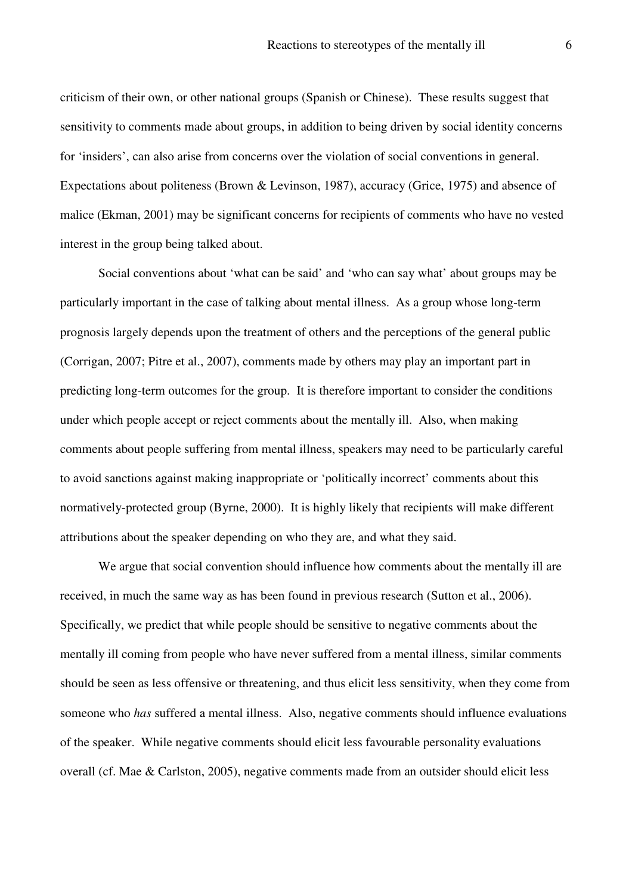criticism of their own, or other national groups (Spanish or Chinese). These results suggest that sensitivity to comments made about groups, in addition to being driven by social identity concerns for 'insiders', can also arise from concerns over the violation of social conventions in general. Expectations about politeness (Brown & Levinson, 1987), accuracy (Grice, 1975) and absence of malice (Ekman, 2001) may be significant concerns for recipients of comments who have no vested interest in the group being talked about.

Social conventions about 'what can be said' and 'who can say what' about groups may be particularly important in the case of talking about mental illness. As a group whose long-term prognosis largely depends upon the treatment of others and the perceptions of the general public (Corrigan, 2007; Pitre et al., 2007), comments made by others may play an important part in predicting long-term outcomes for the group. It is therefore important to consider the conditions under which people accept or reject comments about the mentally ill. Also, when making comments about people suffering from mental illness, speakers may need to be particularly careful to avoid sanctions against making inappropriate or 'politically incorrect' comments about this normatively-protected group (Byrne, 2000). It is highly likely that recipients will make different attributions about the speaker depending on who they are, and what they said.

We argue that social convention should influence how comments about the mentally ill are received, in much the same way as has been found in previous research (Sutton et al., 2006). Specifically, we predict that while people should be sensitive to negative comments about the mentally ill coming from people who have never suffered from a mental illness, similar comments should be seen as less offensive or threatening, and thus elicit less sensitivity, when they come from someone who *has* suffered a mental illness. Also, negative comments should influence evaluations of the speaker. While negative comments should elicit less favourable personality evaluations overall (cf. Mae & Carlston, 2005), negative comments made from an outsider should elicit less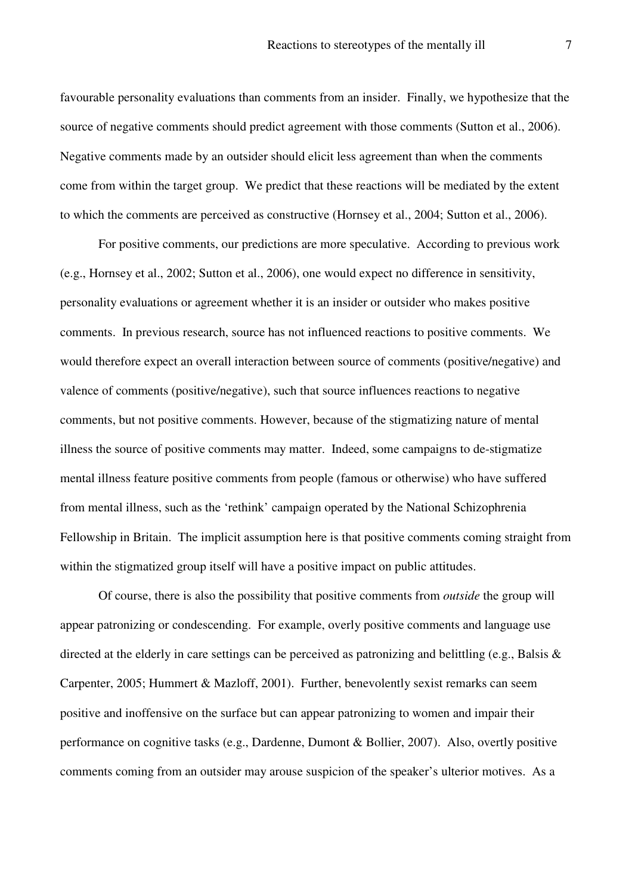favourable personality evaluations than comments from an insider. Finally, we hypothesize that the source of negative comments should predict agreement with those comments (Sutton et al., 2006). Negative comments made by an outsider should elicit less agreement than when the comments come from within the target group. We predict that these reactions will be mediated by the extent to which the comments are perceived as constructive (Hornsey et al., 2004; Sutton et al., 2006).

For positive comments, our predictions are more speculative. According to previous work (e.g., Hornsey et al., 2002; Sutton et al., 2006), one would expect no difference in sensitivity, personality evaluations or agreement whether it is an insider or outsider who makes positive comments. In previous research, source has not influenced reactions to positive comments. We would therefore expect an overall interaction between source of comments (positive/negative) and valence of comments (positive/negative), such that source influences reactions to negative comments, but not positive comments. However, because of the stigmatizing nature of mental illness the source of positive comments may matter. Indeed, some campaigns to de-stigmatize mental illness feature positive comments from people (famous or otherwise) who have suffered from mental illness, such as the 'rethink' campaign operated by the National Schizophrenia Fellowship in Britain. The implicit assumption here is that positive comments coming straight from within the stigmatized group itself will have a positive impact on public attitudes.

Of course, there is also the possibility that positive comments from *outside* the group will appear patronizing or condescending. For example, overly positive comments and language use directed at the elderly in care settings can be perceived as patronizing and belittling (e.g., Balsis & Carpenter, 2005; Hummert & Mazloff, 2001). Further, benevolently sexist remarks can seem positive and inoffensive on the surface but can appear patronizing to women and impair their performance on cognitive tasks (e.g., Dardenne, Dumont & Bollier, 2007). Also, overtly positive comments coming from an outsider may arouse suspicion of the speaker's ulterior motives. As a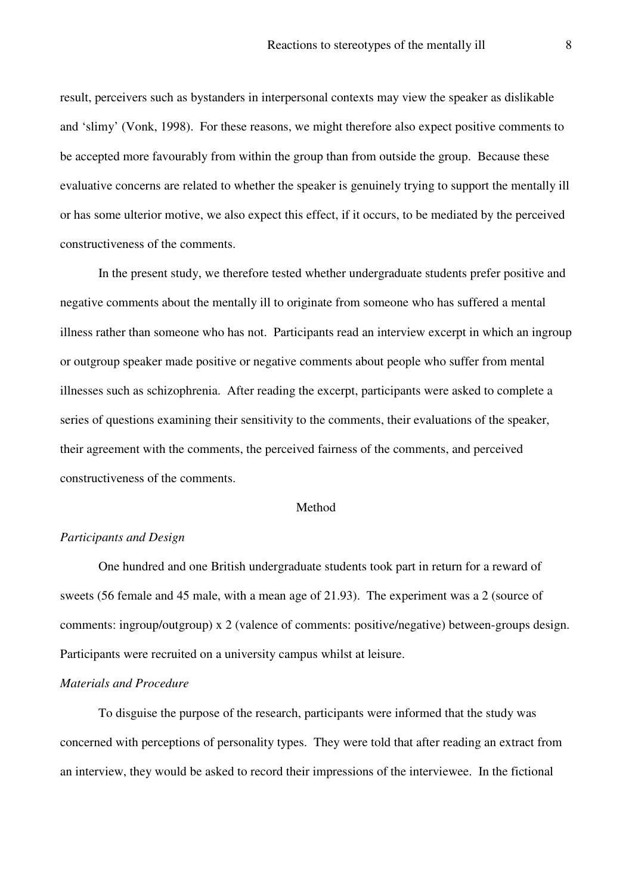result, perceivers such as bystanders in interpersonal contexts may view the speaker as dislikable and 'slimy' (Vonk, 1998). For these reasons, we might therefore also expect positive comments to be accepted more favourably from within the group than from outside the group. Because these evaluative concerns are related to whether the speaker is genuinely trying to support the mentally ill or has some ulterior motive, we also expect this effect, if it occurs, to be mediated by the perceived constructiveness of the comments.

In the present study, we therefore tested whether undergraduate students prefer positive and negative comments about the mentally ill to originate from someone who has suffered a mental illness rather than someone who has not. Participants read an interview excerpt in which an ingroup or outgroup speaker made positive or negative comments about people who suffer from mental illnesses such as schizophrenia. After reading the excerpt, participants were asked to complete a series of questions examining their sensitivity to the comments, their evaluations of the speaker, their agreement with the comments, the perceived fairness of the comments, and perceived constructiveness of the comments.

#### Method

#### *Participants and Design*

One hundred and one British undergraduate students took part in return for a reward of sweets (56 female and 45 male, with a mean age of 21.93). The experiment was a 2 (source of comments: ingroup/outgroup) x 2 (valence of comments: positive/negative) between-groups design. Participants were recruited on a university campus whilst at leisure.

#### *Materials and Procedure*

 To disguise the purpose of the research, participants were informed that the study was concerned with perceptions of personality types. They were told that after reading an extract from an interview, they would be asked to record their impressions of the interviewee. In the fictional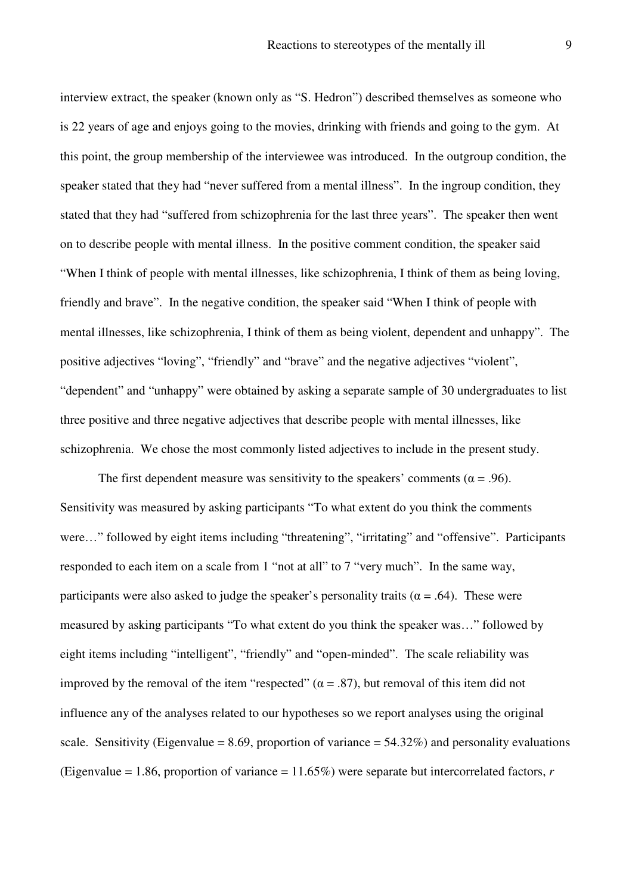interview extract, the speaker (known only as "S. Hedron") described themselves as someone who is 22 years of age and enjoys going to the movies, drinking with friends and going to the gym. At this point, the group membership of the interviewee was introduced. In the outgroup condition, the speaker stated that they had "never suffered from a mental illness". In the ingroup condition, they stated that they had "suffered from schizophrenia for the last three years". The speaker then went on to describe people with mental illness. In the positive comment condition, the speaker said "When I think of people with mental illnesses, like schizophrenia, I think of them as being loving, friendly and brave". In the negative condition, the speaker said "When I think of people with mental illnesses, like schizophrenia, I think of them as being violent, dependent and unhappy". The positive adjectives "loving", "friendly" and "brave" and the negative adjectives "violent", "dependent" and "unhappy" were obtained by asking a separate sample of 30 undergraduates to list three positive and three negative adjectives that describe people with mental illnesses, like schizophrenia. We chose the most commonly listed adjectives to include in the present study.

The first dependent measure was sensitivity to the speakers' comments ( $\alpha = .96$ ). Sensitivity was measured by asking participants "To what extent do you think the comments were..." followed by eight items including "threatening", "irritating" and "offensive". Participants responded to each item on a scale from 1 "not at all" to 7 "very much". In the same way, participants were also asked to judge the speaker's personality traits ( $\alpha$  = .64). These were measured by asking participants "To what extent do you think the speaker was…" followed by eight items including "intelligent", "friendly" and "open-minded". The scale reliability was improved by the removal of the item "respected" ( $\alpha = .87$ ), but removal of this item did not influence any of the analyses related to our hypotheses so we report analyses using the original scale. Sensitivity (Eigenvalue = 8.69, proportion of variance =  $54.32\%$ ) and personality evaluations (Eigenvalue = 1.86, proportion of variance = 11.65%) were separate but intercorrelated factors, *r*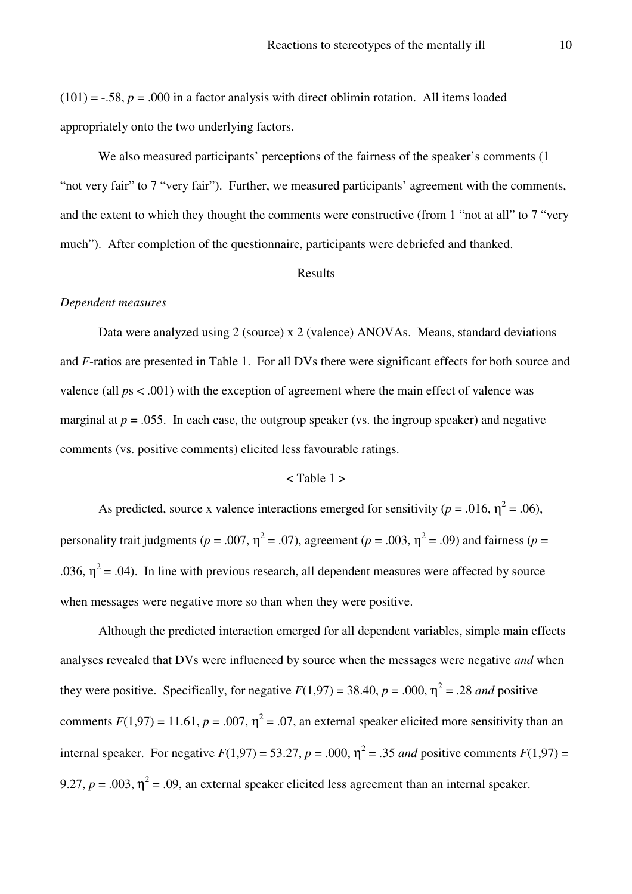$(101) = -.58$ ,  $p = .000$  in a factor analysis with direct oblimin rotation. All items loaded appropriately onto the two underlying factors.

 We also measured participants' perceptions of the fairness of the speaker's comments (1 "not very fair" to 7 "very fair"). Further, we measured participants' agreement with the comments, and the extent to which they thought the comments were constructive (from 1 "not at all" to 7 "very much"). After completion of the questionnaire, participants were debriefed and thanked.

#### Results

#### *Dependent measures*

Data were analyzed using 2 (source) x 2 (valence) ANOVAs. Means, standard deviations and *F*-ratios are presented in Table 1. For all DVs there were significant effects for both source and valence (all *p*s < .001) with the exception of agreement where the main effect of valence was marginal at  $p = 0.055$ . In each case, the outgroup speaker (vs. the ingroup speaker) and negative comments (vs. positive comments) elicited less favourable ratings.

#### $<$  Table 1  $>$

As predicted, source x valence interactions emerged for sensitivity ( $p = .016$ ,  $\eta^2 = .06$ ), personality trait judgments ( $p = .007$ ,  $\eta^2 = .07$ ), agreement ( $p = .003$ ,  $\eta^2 = .09$ ) and fairness ( $p =$ .036,  $\eta^2$  = .04). In line with previous research, all dependent measures were affected by source when messages were negative more so than when they were positive.

 Although the predicted interaction emerged for all dependent variables, simple main effects analyses revealed that DVs were influenced by source when the messages were negative *and* when they were positive. Specifically, for negative  $F(1,97) = 38.40$ ,  $p = .000$ ,  $\eta^2 = .28$  *and* positive comments  $F(1,97) = 11.61$ ,  $p = .007$ ,  $\eta^2 = .07$ , an external speaker elicited more sensitivity than an internal speaker. For negative  $F(1,97) = 53.27$ ,  $p = .000$ ,  $\eta^2 = .35$  *and* positive comments  $F(1,97) =$ 9.27,  $p = .003$ ,  $\eta^2 = .09$ , an external speaker elicited less agreement than an internal speaker.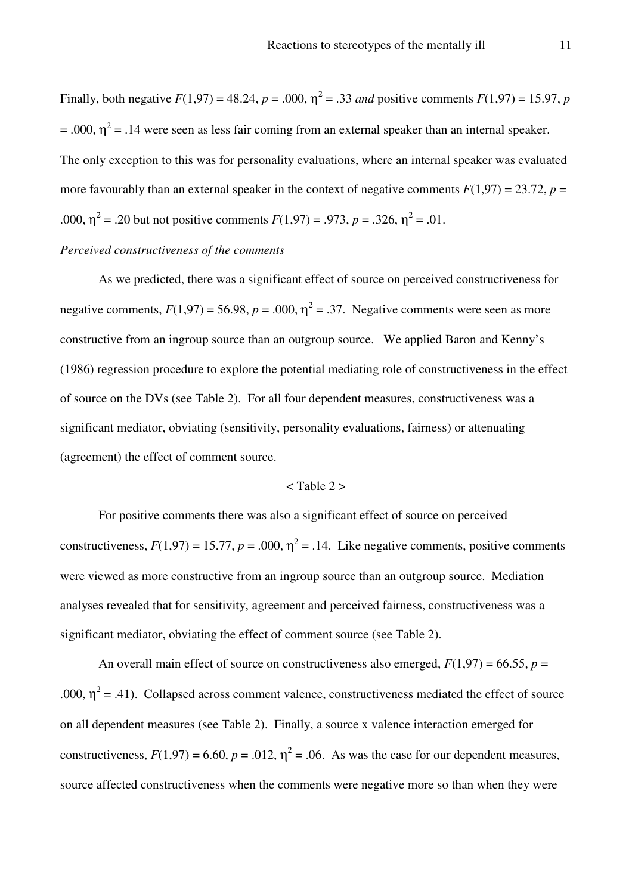Finally, both negative  $F(1,97) = 48.24$ ,  $p = .000$ ,  $\eta^2 = .33$  *and* positive comments  $F(1,97) = 15.97$ ,  $p$  $= .000$ ,  $\eta^2 = .14$  were seen as less fair coming from an external speaker than an internal speaker. The only exception to this was for personality evaluations, where an internal speaker was evaluated more favourably than an external speaker in the context of negative comments  $F(1,97) = 23.72$ ,  $p =$ .000,  $\eta^2$  = .20 but not positive comments  $F(1,97) = .973$ ,  $p = .326$ ,  $\eta^2 = .01$ .

#### *Perceived constructiveness of the comments*

As we predicted, there was a significant effect of source on perceived constructiveness for negative comments,  $F(1,97) = 56.98$ ,  $p = .000$ ,  $\eta^2 = .37$ . Negative comments were seen as more constructive from an ingroup source than an outgroup source. We applied Baron and Kenny's (1986) regression procedure to explore the potential mediating role of constructiveness in the effect of source on the DVs (see Table 2). For all four dependent measures, constructiveness was a significant mediator, obviating (sensitivity, personality evaluations, fairness) or attenuating (agreement) the effect of comment source.

#### $\langle$  Table 2  $>$

For positive comments there was also a significant effect of source on perceived constructiveness,  $F(1,97) = 15.77$ ,  $p = .000$ ,  $\eta^2 = .14$ . Like negative comments, positive comments were viewed as more constructive from an ingroup source than an outgroup source. Mediation analyses revealed that for sensitivity, agreement and perceived fairness, constructiveness was a significant mediator, obviating the effect of comment source (see Table 2).

An overall main effect of source on constructiveness also emerged,  $F(1,97) = 66.55$ ,  $p =$ .000,  $\eta^2$  = .41). Collapsed across comment valence, constructiveness mediated the effect of source on all dependent measures (see Table 2). Finally, a source x valence interaction emerged for constructiveness,  $F(1,97) = 6.60$ ,  $p = .012$ ,  $\eta^2 = .06$ . As was the case for our dependent measures, source affected constructiveness when the comments were negative more so than when they were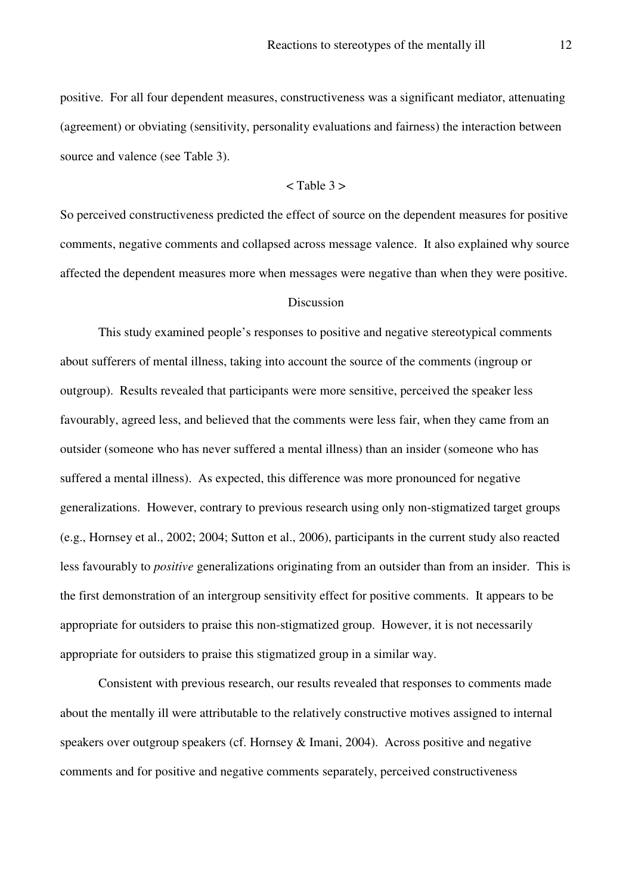positive. For all four dependent measures, constructiveness was a significant mediator, attenuating (agreement) or obviating (sensitivity, personality evaluations and fairness) the interaction between source and valence (see Table 3).

#### $<$  Table 3  $>$

So perceived constructiveness predicted the effect of source on the dependent measures for positive comments, negative comments and collapsed across message valence. It also explained why source affected the dependent measures more when messages were negative than when they were positive.

#### Discussion

This study examined people's responses to positive and negative stereotypical comments about sufferers of mental illness, taking into account the source of the comments (ingroup or outgroup). Results revealed that participants were more sensitive, perceived the speaker less favourably, agreed less, and believed that the comments were less fair, when they came from an outsider (someone who has never suffered a mental illness) than an insider (someone who has suffered a mental illness). As expected, this difference was more pronounced for negative generalizations. However, contrary to previous research using only non-stigmatized target groups (e.g., Hornsey et al., 2002; 2004; Sutton et al., 2006), participants in the current study also reacted less favourably to *positive* generalizations originating from an outsider than from an insider. This is the first demonstration of an intergroup sensitivity effect for positive comments. It appears to be appropriate for outsiders to praise this non-stigmatized group. However, it is not necessarily appropriate for outsiders to praise this stigmatized group in a similar way.

Consistent with previous research, our results revealed that responses to comments made about the mentally ill were attributable to the relatively constructive motives assigned to internal speakers over outgroup speakers (cf. Hornsey & Imani, 2004). Across positive and negative comments and for positive and negative comments separately, perceived constructiveness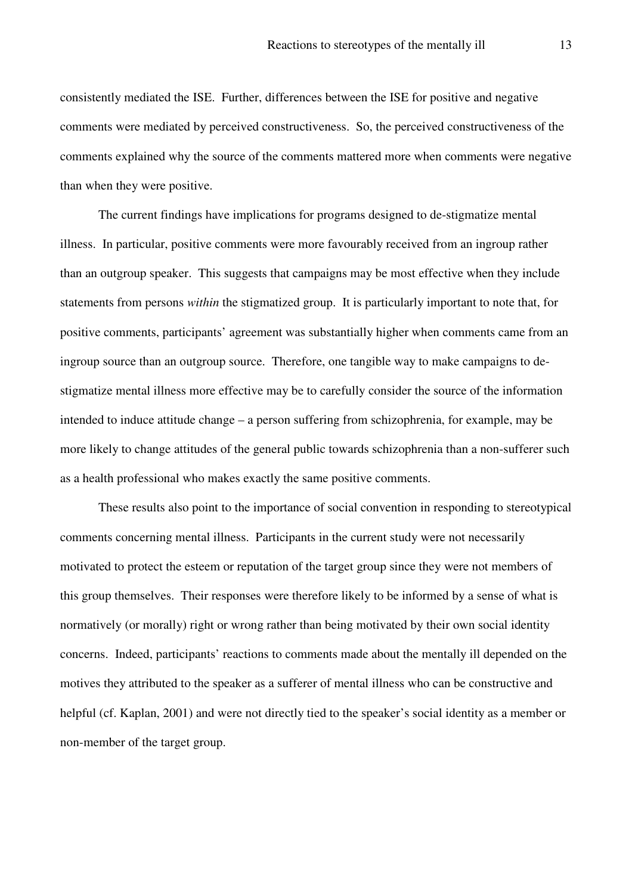consistently mediated the ISE. Further, differences between the ISE for positive and negative comments were mediated by perceived constructiveness. So, the perceived constructiveness of the comments explained why the source of the comments mattered more when comments were negative than when they were positive.

The current findings have implications for programs designed to de-stigmatize mental illness. In particular, positive comments were more favourably received from an ingroup rather than an outgroup speaker. This suggests that campaigns may be most effective when they include statements from persons *within* the stigmatized group. It is particularly important to note that, for positive comments, participants' agreement was substantially higher when comments came from an ingroup source than an outgroup source. Therefore, one tangible way to make campaigns to destigmatize mental illness more effective may be to carefully consider the source of the information intended to induce attitude change – a person suffering from schizophrenia, for example, may be more likely to change attitudes of the general public towards schizophrenia than a non-sufferer such as a health professional who makes exactly the same positive comments.

These results also point to the importance of social convention in responding to stereotypical comments concerning mental illness. Participants in the current study were not necessarily motivated to protect the esteem or reputation of the target group since they were not members of this group themselves. Their responses were therefore likely to be informed by a sense of what is normatively (or morally) right or wrong rather than being motivated by their own social identity concerns. Indeed, participants' reactions to comments made about the mentally ill depended on the motives they attributed to the speaker as a sufferer of mental illness who can be constructive and helpful (cf. Kaplan, 2001) and were not directly tied to the speaker's social identity as a member or non-member of the target group.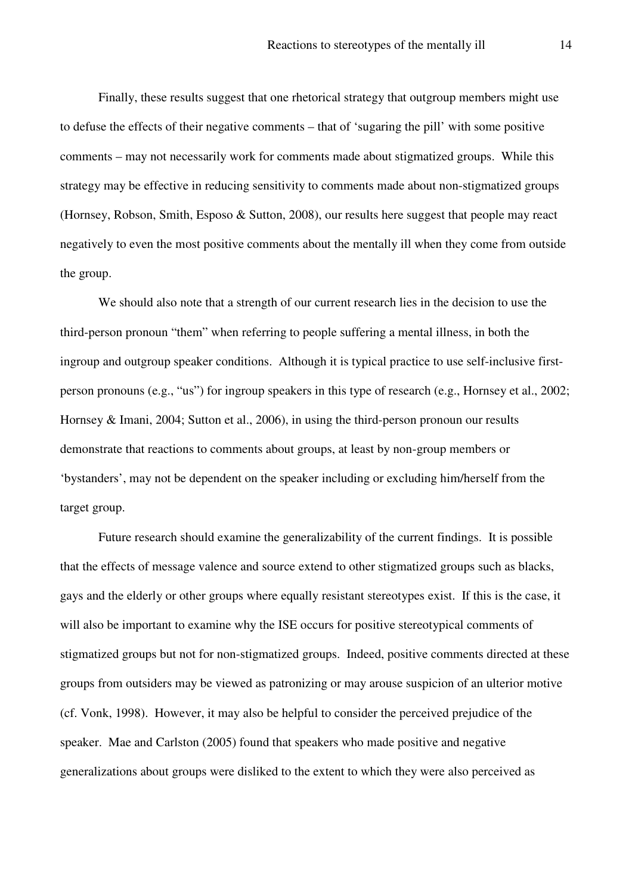Finally, these results suggest that one rhetorical strategy that outgroup members might use to defuse the effects of their negative comments – that of 'sugaring the pill' with some positive comments – may not necessarily work for comments made about stigmatized groups. While this strategy may be effective in reducing sensitivity to comments made about non-stigmatized groups (Hornsey, Robson, Smith, Esposo & Sutton, 2008), our results here suggest that people may react negatively to even the most positive comments about the mentally ill when they come from outside the group.

We should also note that a strength of our current research lies in the decision to use the third-person pronoun "them" when referring to people suffering a mental illness, in both the ingroup and outgroup speaker conditions. Although it is typical practice to use self-inclusive firstperson pronouns (e.g., "us") for ingroup speakers in this type of research (e.g., Hornsey et al., 2002; Hornsey & Imani, 2004; Sutton et al., 2006), in using the third-person pronoun our results demonstrate that reactions to comments about groups, at least by non-group members or 'bystanders', may not be dependent on the speaker including or excluding him/herself from the target group.

Future research should examine the generalizability of the current findings. It is possible that the effects of message valence and source extend to other stigmatized groups such as blacks, gays and the elderly or other groups where equally resistant stereotypes exist. If this is the case, it will also be important to examine why the ISE occurs for positive stereotypical comments of stigmatized groups but not for non-stigmatized groups. Indeed, positive comments directed at these groups from outsiders may be viewed as patronizing or may arouse suspicion of an ulterior motive (cf. Vonk, 1998). However, it may also be helpful to consider the perceived prejudice of the speaker. Mae and Carlston (2005) found that speakers who made positive and negative generalizations about groups were disliked to the extent to which they were also perceived as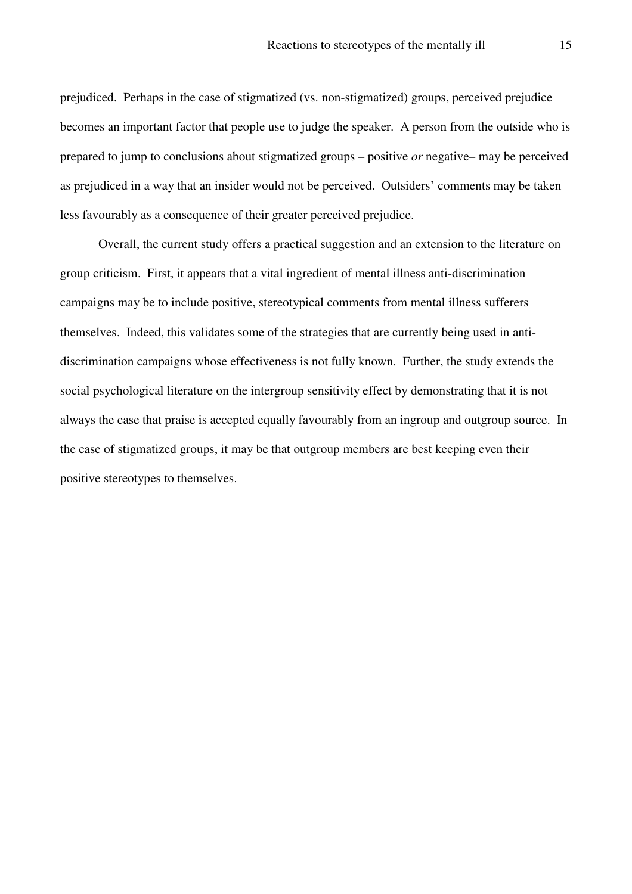prejudiced. Perhaps in the case of stigmatized (vs. non-stigmatized) groups, perceived prejudice becomes an important factor that people use to judge the speaker. A person from the outside who is prepared to jump to conclusions about stigmatized groups – positive *or* negative– may be perceived as prejudiced in a way that an insider would not be perceived. Outsiders' comments may be taken less favourably as a consequence of their greater perceived prejudice.

Overall, the current study offers a practical suggestion and an extension to the literature on group criticism. First, it appears that a vital ingredient of mental illness anti-discrimination campaigns may be to include positive, stereotypical comments from mental illness sufferers themselves. Indeed, this validates some of the strategies that are currently being used in antidiscrimination campaigns whose effectiveness is not fully known. Further, the study extends the social psychological literature on the intergroup sensitivity effect by demonstrating that it is not always the case that praise is accepted equally favourably from an ingroup and outgroup source. In the case of stigmatized groups, it may be that outgroup members are best keeping even their positive stereotypes to themselves.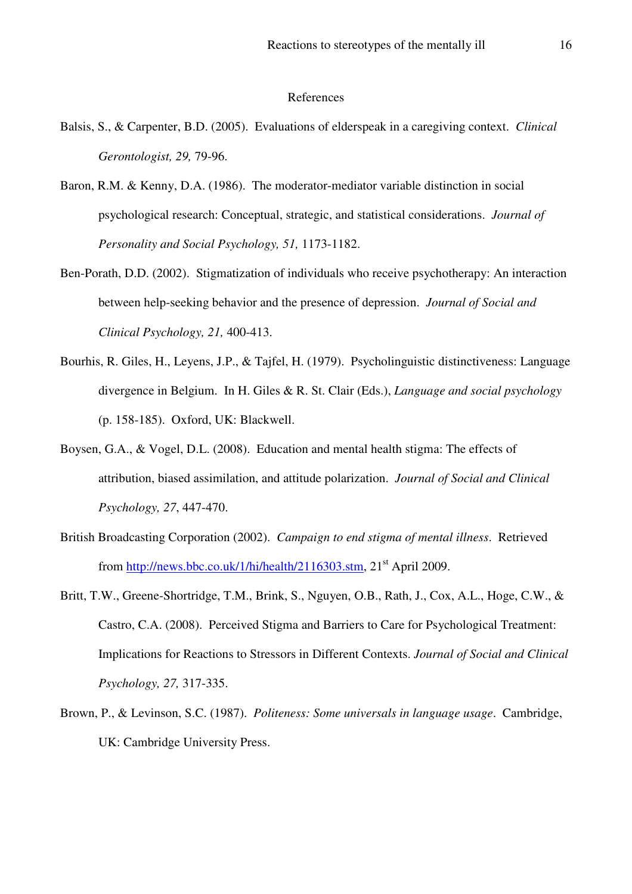#### References

- Balsis, S., & Carpenter, B.D. (2005). Evaluations of elderspeak in a caregiving context. *Clinical Gerontologist, 29,* 79-96.
- Baron, R.M. & Kenny, D.A. (1986). The moderator-mediator variable distinction in social psychological research: Conceptual, strategic, and statistical considerations. *Journal of Personality and Social Psychology, 51,* 1173-1182.
- Ben-Porath, D.D. (2002). Stigmatization of individuals who receive psychotherapy: An interaction between help-seeking behavior and the presence of depression. *Journal of Social and Clinical Psychology, 21,* 400-413.
- Bourhis, R. Giles, H., Leyens, J.P., & Tajfel, H. (1979). Psycholinguistic distinctiveness: Language divergence in Belgium. In H. Giles & R. St. Clair (Eds.), *Language and social psychology* (p. 158-185). Oxford, UK: Blackwell.
- Boysen, G.A., & Vogel, D.L. (2008). Education and mental health stigma: The effects of attribution, biased assimilation, and attitude polarization. *Journal of Social and Clinical Psychology, 27*, 447-470.
- British Broadcasting Corporation (2002). *Campaign to end stigma of mental illness*. Retrieved from http://news.bbc.co.uk/1/hi/health/2116303.stm,  $21<sup>st</sup>$  April 2009.
- Britt, T.W., Greene-Shortridge, T.M., Brink, S., Nguyen, O.B., Rath, J., Cox, A.L., Hoge, C.W., & Castro, C.A. (2008). Perceived Stigma and Barriers to Care for Psychological Treatment: Implications for Reactions to Stressors in Different Contexts. *Journal of Social and Clinical Psychology, 27,* 317-335.
- Brown, P., & Levinson, S.C. (1987). *Politeness: Some universals in language usage*. Cambridge, UK: Cambridge University Press.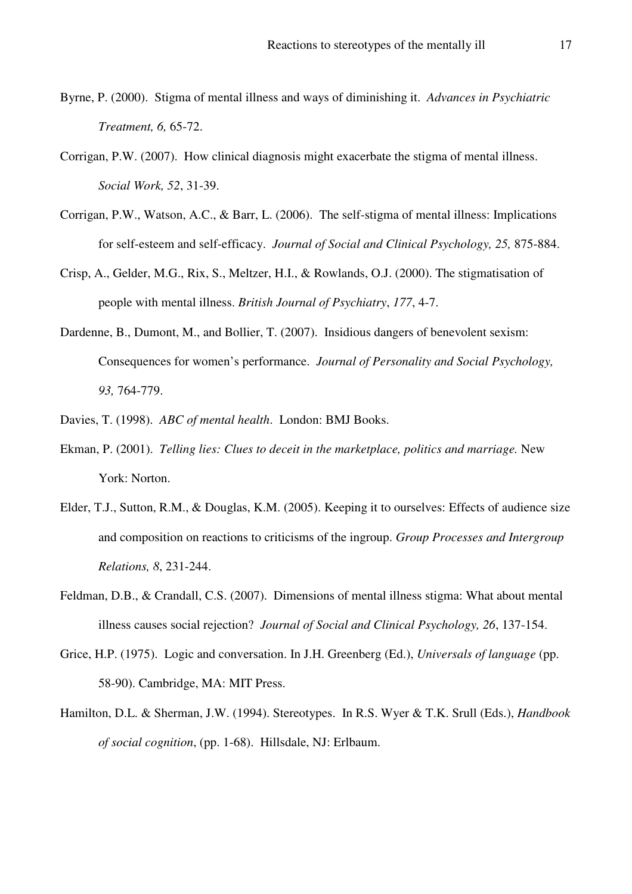- Byrne, P. (2000). Stigma of mental illness and ways of diminishing it. *Advances in Psychiatric Treatment, 6,* 65-72.
- Corrigan, P.W. (2007). How clinical diagnosis might exacerbate the stigma of mental illness. *Social Work, 52*, 31-39.
- Corrigan, P.W., Watson, A.C., & Barr, L. (2006). The self-stigma of mental illness: Implications for self-esteem and self-efficacy. *Journal of Social and Clinical Psychology, 25,* 875-884.
- Crisp, A., Gelder, M.G., Rix, S., Meltzer, H.I., & Rowlands, O.J. (2000). The stigmatisation of people with mental illness. *British Journal of Psychiatry*, *177*, 4-7.
- Dardenne, B., Dumont, M., and Bollier, T. (2007). Insidious dangers of benevolent sexism: Consequences for women's performance. *Journal of Personality and Social Psychology, 93,* 764-779.
- Davies, T. (1998). *ABC of mental health*. London: BMJ Books.
- Ekman, P. (2001). *Telling lies: Clues to deceit in the marketplace, politics and marriage.* New York: Norton.
- Elder, T.J., Sutton, R.M., & Douglas, K.M. (2005). Keeping it to ourselves: Effects of audience size and composition on reactions to criticisms of the ingroup. *Group Processes and Intergroup Relations, 8*, 231-244.
- Feldman, D.B., & Crandall, C.S. (2007). Dimensions of mental illness stigma: What about mental illness causes social rejection? *Journal of Social and Clinical Psychology, 26*, 137-154.
- Grice, H.P. (1975). Logic and conversation. In J.H. Greenberg (Ed.), *Universals of language* (pp. 58-90). Cambridge, MA: MIT Press.
- Hamilton, D.L. & Sherman, J.W. (1994). Stereotypes. In R.S. Wyer & T.K. Srull (Eds.), *Handbook of social cognition*, (pp. 1-68). Hillsdale, NJ: Erlbaum.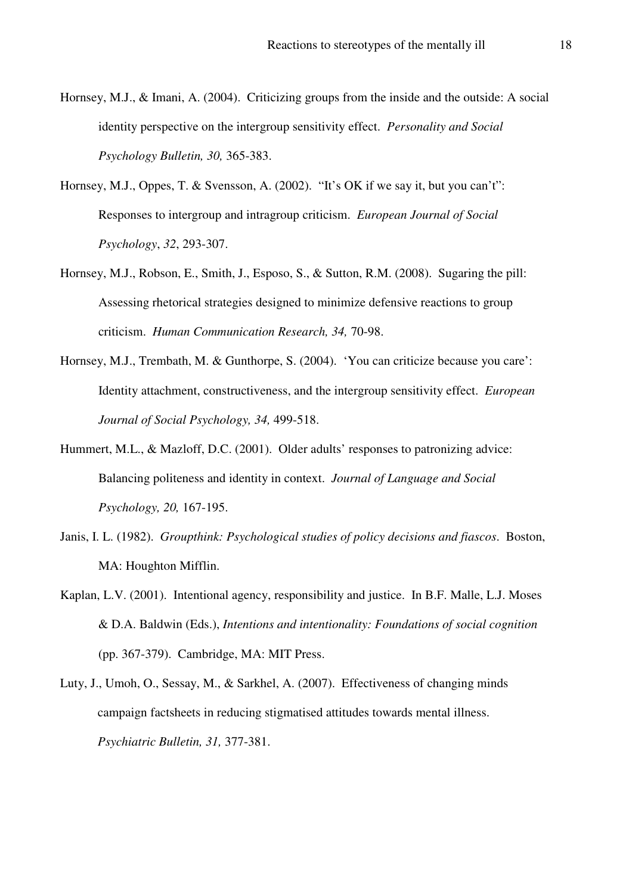- Hornsey, M.J., & Imani, A. (2004). Criticizing groups from the inside and the outside: A social identity perspective on the intergroup sensitivity effect. *Personality and Social Psychology Bulletin, 30,* 365-383.
- Hornsey, M.J., Oppes, T. & Svensson, A. (2002). "It's OK if we say it, but you can't": Responses to intergroup and intragroup criticism. *European Journal of Social Psychology*, *32*, 293-307.
- Hornsey, M.J., Robson, E., Smith, J., Esposo, S., & Sutton, R.M. (2008). Sugaring the pill: Assessing rhetorical strategies designed to minimize defensive reactions to group criticism. *Human Communication Research, 34,* 70-98.
- Hornsey, M.J., Trembath, M. & Gunthorpe, S. (2004). 'You can criticize because you care': Identity attachment, constructiveness, and the intergroup sensitivity effect. *European Journal of Social Psychology, 34,* 499-518.
- Hummert, M.L., & Mazloff, D.C. (2001). Older adults' responses to patronizing advice: Balancing politeness and identity in context. *Journal of Language and Social Psychology, 20,* 167-195.
- Janis, I. L. (1982). *Groupthink: Psychological studies of policy decisions and fiascos*. Boston, MA: Houghton Mifflin.
- Kaplan, L.V. (2001). Intentional agency, responsibility and justice. In B.F. Malle, L.J. Moses & D.A. Baldwin (Eds.), *Intentions and intentionality: Foundations of social cognition* (pp. 367-379). Cambridge, MA: MIT Press.
- Luty, J., Umoh, O., Sessay, M., & Sarkhel, A. (2007). Effectiveness of changing minds campaign factsheets in reducing stigmatised attitudes towards mental illness. *Psychiatric Bulletin, 31,* 377-381.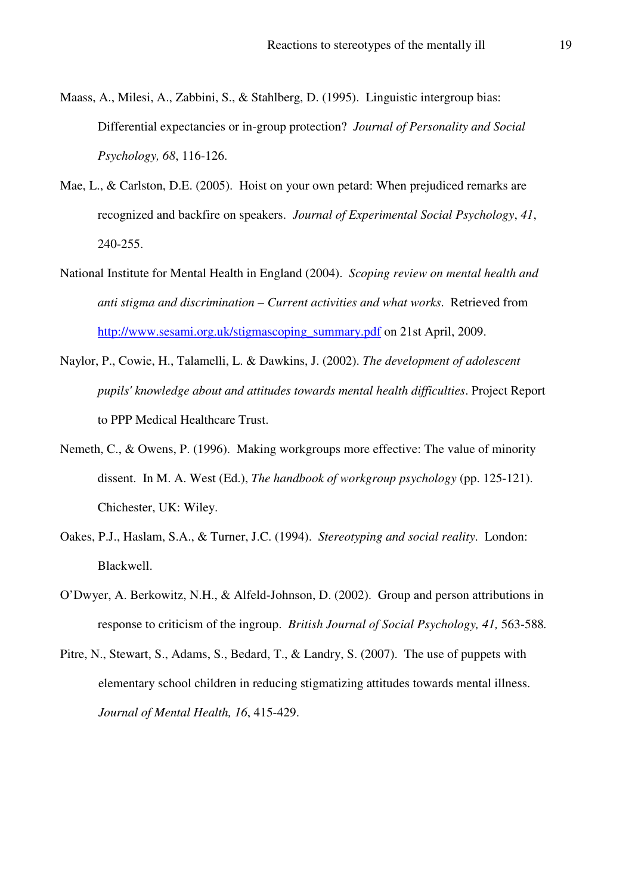- Maass, A., Milesi, A., Zabbini, S., & Stahlberg, D. (1995). Linguistic intergroup bias: Differential expectancies or in-group protection? *Journal of Personality and Social Psychology, 68*, 116-126.
- Mae, L., & Carlston, D.E. (2005). Hoist on your own petard: When prejudiced remarks are recognized and backfire on speakers. *Journal of Experimental Social Psychology*, *41*, 240-255.
- National Institute for Mental Health in England (2004). *Scoping review on mental health and anti stigma and discrimination – Current activities and what works*. Retrieved from http://www.sesami.org.uk/stigmascoping\_summary.pdf on 21st April, 2009.
- Naylor, P., Cowie, H., Talamelli, L. & Dawkins, J. (2002). *The development of adolescent pupils' knowledge about and attitudes towards mental health difficulties*. Project Report to PPP Medical Healthcare Trust.
- Nemeth, C., & Owens, P. (1996). Making workgroups more effective: The value of minority dissent. In M. A. West (Ed.), *The handbook of workgroup psychology* (pp. 125-121). Chichester, UK: Wiley.
- Oakes, P.J., Haslam, S.A., & Turner, J.C. (1994). *Stereotyping and social reality*. London: Blackwell.
- O'Dwyer, A. Berkowitz, N.H., & Alfeld-Johnson, D. (2002). Group and person attributions in response to criticism of the ingroup. *British Journal of Social Psychology, 41,* 563-588*.*
- Pitre, N., Stewart, S., Adams, S., Bedard, T., & Landry, S. (2007). The use of puppets with elementary school children in reducing stigmatizing attitudes towards mental illness. *Journal of Mental Health, 16*, 415-429.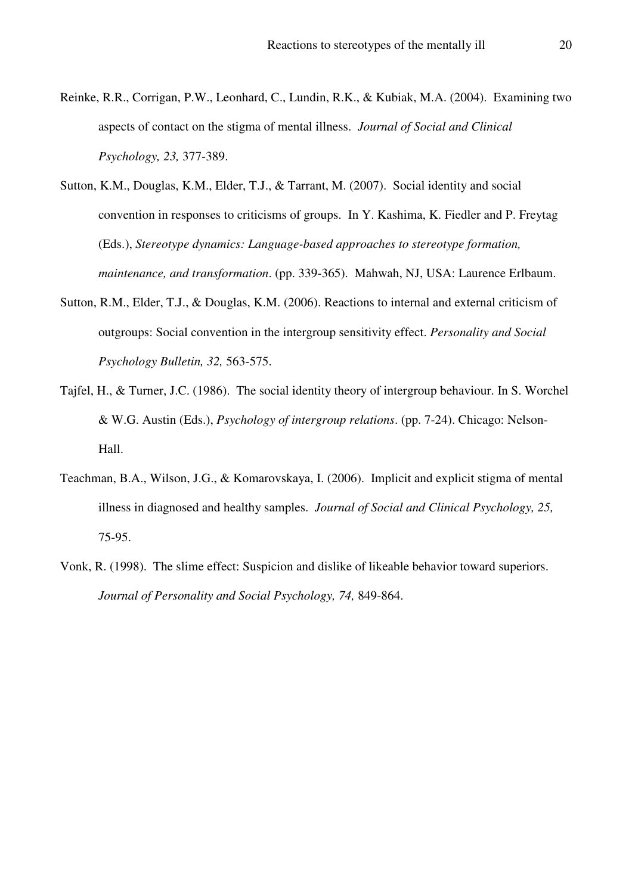- Reinke, R.R., Corrigan, P.W., Leonhard, C., Lundin, R.K., & Kubiak, M.A. (2004). Examining two aspects of contact on the stigma of mental illness. *Journal of Social and Clinical Psychology, 23,* 377-389.
- Sutton, K.M., Douglas, K.M., Elder, T.J., & Tarrant, M. (2007). Social identity and social convention in responses to criticisms of groups. In Y. Kashima, K. Fiedler and P. Freytag (Eds.), *Stereotype dynamics: Language-based approaches to stereotype formation, maintenance, and transformation*. (pp. 339-365). Mahwah, NJ, USA: Laurence Erlbaum.
- Sutton, R.M., Elder, T.J., & Douglas, K.M. (2006). Reactions to internal and external criticism of outgroups: Social convention in the intergroup sensitivity effect. *Personality and Social Psychology Bulletin, 32,* 563-575.
- Tajfel, H., & Turner, J.C. (1986). The social identity theory of intergroup behaviour. In S. Worchel & W.G. Austin (Eds.), *Psychology of intergroup relations*. (pp. 7-24). Chicago: Nelson-Hall.
- Teachman, B.A., Wilson, J.G., & Komarovskaya, I. (2006). Implicit and explicit stigma of mental illness in diagnosed and healthy samples. *Journal of Social and Clinical Psychology, 25,*  75-95.
- Vonk, R. (1998). The slime effect: Suspicion and dislike of likeable behavior toward superiors. *Journal of Personality and Social Psychology, 74,* 849-864.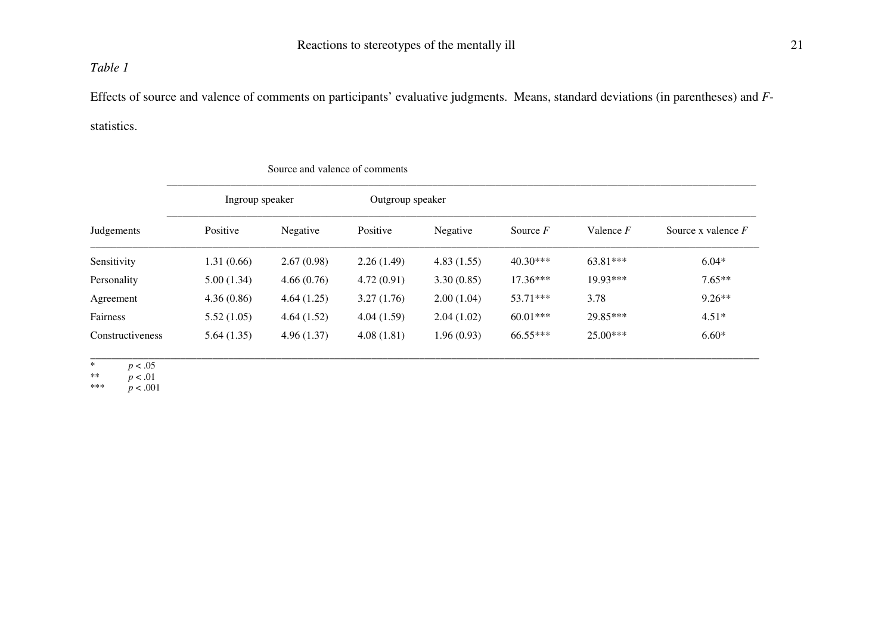#### *Table 1*

Effects of source and valence of comments on participants' evaluative judgments. Means, standard deviations (in parentheses) and *F*statistics.

| Judgements       | Ingroup speaker |            | Outgroup speaker |            |            |             |                      |
|------------------|-----------------|------------|------------------|------------|------------|-------------|----------------------|
|                  | Positive        | Negative   | Positive         | Negative   | Source $F$ | Valence $F$ | Source x valence $F$ |
| Sensitivity      | 1.31(0.66)      | 2.67(0.98) | 2.26(1.49)       | 4.83(1.55) | $40.30***$ | 63.81***    | $6.04*$              |
| Personality      | 5.00(1.34)      | 4.66(0.76) | 4.72(0.91)       | 3.30(0.85) | $17.36***$ | 19.93***    | $7.65**$             |
| Agreement        | 4.36(0.86)      | 4.64(1.25) | 3.27(1.76)       | 2.00(1.04) | $53.71***$ | 3.78        | $9.26**$             |
| Fairness         | 5.52(1.05)      | 4.64(1.52) | 4.04(1.59)       | 2.04(1.02) | $60.01***$ | 29.85***    | $4.51*$              |
| Constructiveness | 5.64(1.35)      | 4.96(1.37) | 4.08(1.81)       | 1.96(0.93) | $66.55***$ | $25.00***$  | $6.60*$              |

#### Source and valence of comments

\*  $p < .05$ <br>\*\*  $p < .01$ 

\*\* *p* < .01

\*\*\* *p* < .001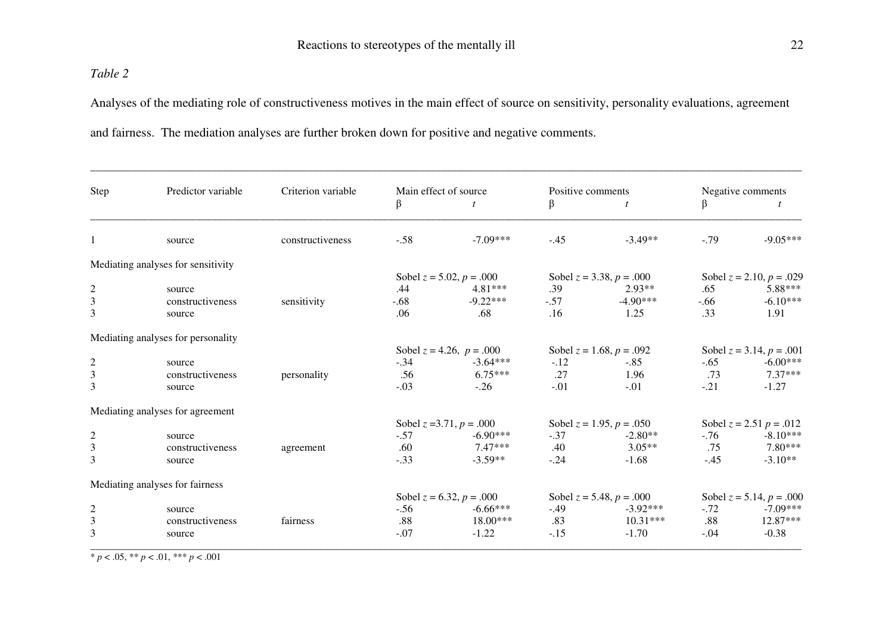#### *Table 2*

Analyses of the mediating role of constructiveness motives in the main effect of source on sensitivity, personality evaluations, agreement and fairness. The mediation analyses are further broken down for positive and negative comments.

| Step           | Predictor variable                 | Criterion variable | Main effect of source         |                               | Positive comments             |                               | Negative comments             |                               |
|----------------|------------------------------------|--------------------|-------------------------------|-------------------------------|-------------------------------|-------------------------------|-------------------------------|-------------------------------|
|                |                                    |                    | β                             | t                             | β                             | t                             | β                             | t                             |
| $\mathbf{1}$   | source                             | constructiveness   | $-.58$                        | $-7.09***$                    | $-.45$                        | $-3.49**$                     | $-.79$                        | $-9.05***$                    |
|                | Mediating analyses for sensitivity |                    |                               |                               |                               |                               |                               |                               |
|                |                                    |                    |                               | Sobel $z = 5.02$ , $p = .000$ |                               | Sobel $z = 3.38$ , $p = .000$ |                               | Sobel $z = 2.10$ , $p = .029$ |
| $\overline{c}$ | source                             |                    | .44                           | $4.81***$                     | .39                           | $2.93**$                      | .65                           | 5.88***                       |
| 3              | constructiveness                   | sensitivity        | $-.68$                        | $-9.22***$                    | $-.57$                        | $-4.90***$                    | $-.66$                        | $-6.10***$                    |
| 3              | source                             |                    | .06                           | .68                           | .16                           | 1.25                          | .33                           | 1.91                          |
|                | Mediating analyses for personality |                    |                               |                               |                               |                               |                               |                               |
|                |                                    |                    | Sobel $z = 4.26$ , $p = .000$ |                               | Sobel $z = 1.68$ , $p = .092$ |                               | Sobel $z = 3.14$ , $p = .001$ |                               |
| $\overline{c}$ | source                             |                    | $-.34$                        | $-3.64***$                    | $-.12$                        | $-.85$                        | $-.65$                        | $-6.00***$                    |
| 3              | constructiveness                   | personality        | .56                           | $6.75***$                     | .27                           | 1.96                          | .73                           | 7.37***                       |
| 3              | source                             |                    | $-.03$                        | $-.26$                        | $-.01$                        | $-.01$                        | $-.21$                        | $-1.27$                       |
|                | Mediating analyses for agreement   |                    |                               |                               |                               |                               |                               |                               |
|                |                                    |                    |                               | Sobel $z = 3.71$ , $p = .000$ | Sobel $z = 1.95$ , $p = .050$ |                               | Sobel $z = 2.51$ $p = .012$   |                               |
| $\overline{c}$ | source                             |                    | $-.57$                        | $-6.90***$                    | $-.37$                        | $-2.80**$                     | $-76$                         | $-8.10***$                    |
| $\mathfrak{Z}$ | constructiveness                   | agreement          | .60                           | $7.47***$                     | .40                           | $3.05**$                      | .75                           | 7.80***                       |
| 3              | source                             |                    | $-.33$                        | $-3.59**$                     | $-.24$                        | $-1.68$                       | $-.45$                        | $-3.10**$                     |
|                | Mediating analyses for fairness    |                    |                               |                               |                               |                               |                               |                               |
|                |                                    |                    | Sobel $z = 6.32$ , $p = .000$ |                               | Sobel $z = 5.48$ , $p = .000$ |                               | Sobel $z = 5.14$ , $p = .000$ |                               |
| $\overline{c}$ | source                             |                    | $-.56$                        | $-6.66***$                    | $-.49$                        | $-3.92***$                    | $-.72$                        | $-7.09***$                    |
| 3              | constructiveness                   | fairness           | .88                           | 18.00***                      | .83                           | $10.31***$                    | .88                           | 12.87***                      |
| 3              | source                             |                    | $-.07$                        | $-1.22$                       | $-.15$                        | $-1.70$                       | $-.04$                        | $-0.38$                       |

 $\frac{p}{p}$  < .05, \*\* *p* < .01, \*\*\* *p* < .001